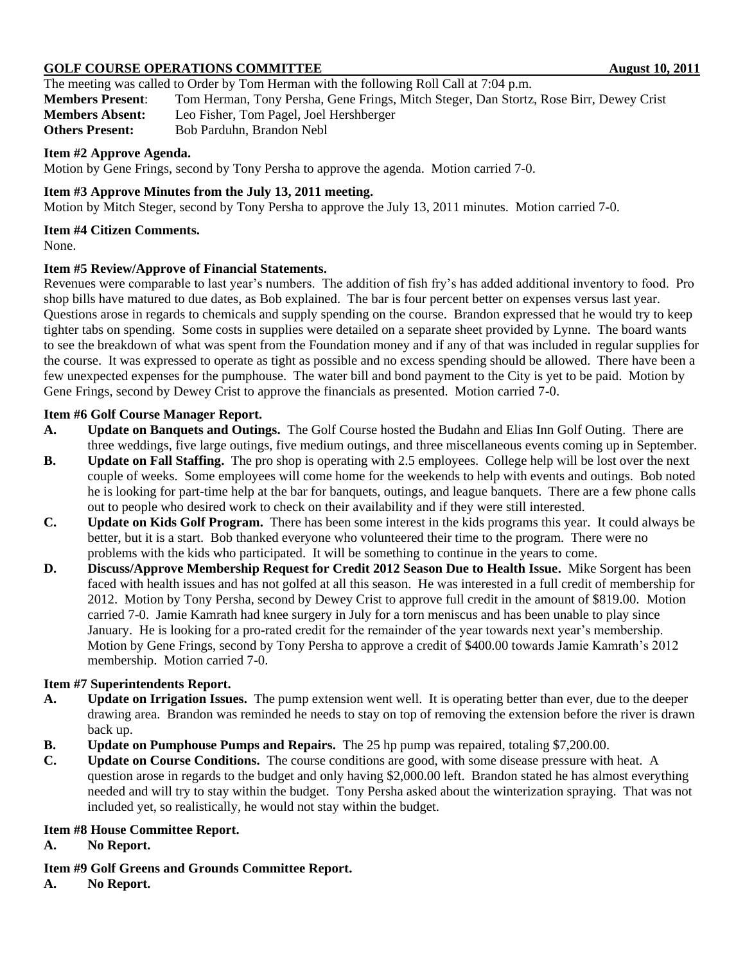# **GOLF COURSE OPERATIONS COMMITTEE AUGUST 10, 2011**

The meeting was called to Order by Tom Herman with the following Roll Call at 7:04 p.m. **Members Present**: Tom Herman, Tony Persha, Gene Frings, Mitch Steger, Dan Stortz, Rose Birr, Dewey Crist **Members Absent:** Leo Fisher, Tom Pagel, Joel Hershberger **Others Present:** Bob Parduhn, Brandon Nebl.

# **Item #2 Approve Agenda.**

Motion by Gene Frings, second by Tony Persha to approve the agenda. Motion carried 7-0.

### **Item #3 Approve Minutes from the July 13, 2011 meeting.**

Motion by Mitch Steger, second by Tony Persha to approve the July 13, 2011 minutes. Motion carried 7-0.

#### **Item #4 Citizen Comments.**

None.

### **Item #5 Review/Approve of Financial Statements.**

Revenues were comparable to last year's numbers. The addition of fish fry's has added additional inventory to food. Pro shop bills have matured to due dates, as Bob explained. The bar is four percent better on expenses versus last year. Questions arose in regards to chemicals and supply spending on the course. Brandon expressed that he would try to keep tighter tabs on spending. Some costs in supplies were detailed on a separate sheet provided by Lynne. The board wants to see the breakdown of what was spent from the Foundation money and if any of that was included in regular supplies for the course. It was expressed to operate as tight as possible and no excess spending should be allowed. There have been a few unexpected expenses for the pumphouse. The water bill and bond payment to the City is yet to be paid. Motion by Gene Frings, second by Dewey Crist to approve the financials as presented. Motion carried 7-0.

### **Item #6 Golf Course Manager Report.**

- **A. Update on Banquets and Outings.** The Golf Course hosted the Budahn and Elias Inn Golf Outing. There are three weddings, five large outings, five medium outings, and three miscellaneous events coming up in September.
- **B. Update on Fall Staffing.** The pro shop is operating with 2.5 employees. College help will be lost over the next couple of weeks. Some employees will come home for the weekends to help with events and outings. Bob noted he is looking for part-time help at the bar for banquets, outings, and league banquets. There are a few phone calls out to people who desired work to check on their availability and if they were still interested.
- **C. Update on Kids Golf Program.** There has been some interest in the kids programs this year. It could always be better, but it is a start. Bob thanked everyone who volunteered their time to the program. There were no problems with the kids who participated. It will be something to continue in the years to come.
- **D. Discuss/Approve Membership Request for Credit 2012 Season Due to Health Issue.** Mike Sorgent has been faced with health issues and has not golfed at all this season. He was interested in a full credit of membership for 2012. Motion by Tony Persha, second by Dewey Crist to approve full credit in the amount of \$819.00. Motion carried 7-0. Jamie Kamrath had knee surgery in July for a torn meniscus and has been unable to play since January. He is looking for a pro-rated credit for the remainder of the year towards next year's membership. Motion by Gene Frings, second by Tony Persha to approve a credit of \$400.00 towards Jamie Kamrath's 2012 membership. Motion carried 7-0.

# **Item #7 Superintendents Report.**

- **A. Update on Irrigation Issues.** The pump extension went well. It is operating better than ever, due to the deeper drawing area. Brandon was reminded he needs to stay on top of removing the extension before the river is drawn back up.
- **B. Update on Pumphouse Pumps and Repairs.** The 25 hp pump was repaired, totaling \$7,200.00.
- **C. Update on Course Conditions.** The course conditions are good, with some disease pressure with heat. A question arose in regards to the budget and only having \$2,000.00 left. Brandon stated he has almost everything needed and will try to stay within the budget. Tony Persha asked about the winterization spraying. That was not included yet, so realistically, he would not stay within the budget.

## **Item #8 House Committee Report.**

- **A. No Report.**
- **Item #9 Golf Greens and Grounds Committee Report.**
- **A. No Report.**